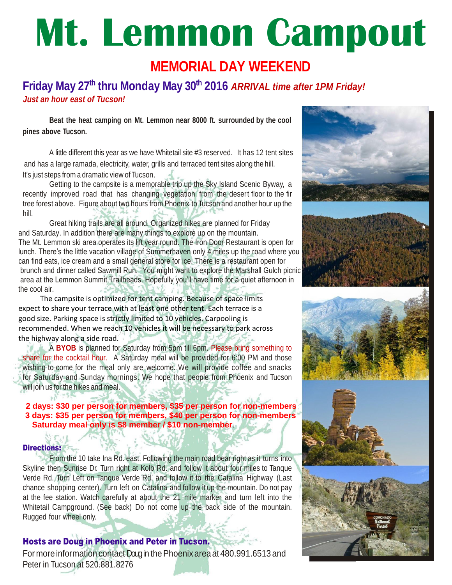# **Mt. Lemmon Campout**

# **MEMORIAL DAY WEEKEND**

## **Friday May 27 th thru Monday May 30th 2016** *ARRIVAL time after 1PM Friday! Just an hour east of Tucson!*

**Beat the heat camping on Mt. Lemmon near 8000 ft. surrounded by the cool pines above Tucson.**

 A little different this year as we have Whitetail site #3 reserved. It has 12 tent sites and has a large ramada, electricity, water, grills and terraced tent sites along the hill. It's just steps from a dramatic view of Tucson.

Getting to the campsite is a memorable trip up the Sky Island Scenic Byway, a recently improved road that has changing vegetation from the desert floor to the fir tree forest above. Figure about two hours from Phoenix to Tucson and another hour up the hill.

Great hiking trails are all around. Organized hikes are planned for Friday and Saturday. In addition there are many things to explore up on the mountain. The Mt. Lemmon ski area operates its lift year round. The Iron Door Restaurant is open for lunch. There's the little vacation village of Summerhaven only 4 miles up the road where you can find eats, ice cream and a small general store for ice. There is a restaurant open for brunch and dinner called Sawmill Run. You might want to explore the Marshall Gulch picnic area at the Lemmon Summit Trailheads. Hopefully you'll have time for a quiet afternoon in the cool air.

 The campsite is optimized for tent camping. Because of space limits expect to share your terrace with at least one other tent. Each terrace is a good size. Parking space is strictly limited to 10 vehicles. Carpooling is recommended. When we reach 10 vehicles it will be necessary to park across the highway along a side road.

A **BYOB** is planned for Saturday from 5pm till 6pm. Please bring something to share for the cocktail hour. A Saturday meal will be provided for 6:00 PM and those wishing to come for the meal only are welcome. We will provide coffee and snacks for Saturday and Sunday mornings. We hope that people from Phoenix and Tucson will join us for the hikes and meal.

#### **2 days: \$30 per person for members, \$35 per person for non-members 3 days: \$35 per person for members, \$40 per person for non-members Saturday meal only is \$8 member / \$10 non-member**.

#### Directions:

 $+ \Lambda^2$ 

From the 10 take Ina Rd. east. Following the main road bear right as it turns into Skyline then Sunrise Dr. Turn right at Kolb Rd. and follow it about four miles to Tanque Verde Rd. Turn Left on Tanque Verde Rd. and follow it to the Catalina Highway (Last chance shopping center). Turn left on Catalina and follow it up the mountain. Do not pay at the fee station. Watch carefully at about the 21 mile marker and turn left into the Whitetail Campground. (See back) Do not come up the back side of the mountain. Rugged four wheel only.

### Hosts are Doug in Phoenix and Peter in Tucson.

For more information contact Doug in the Phoenix area at 480.991.6513 and Peter in Tucson at 520.881.8276